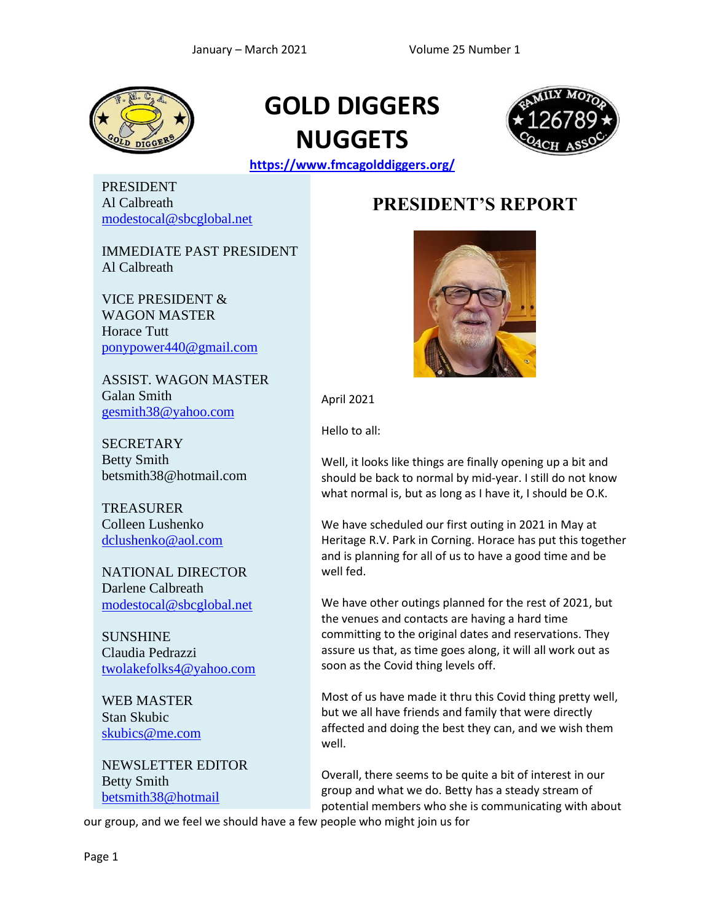

## **GOLD DIGGERS NUGGETS**



**<https://www.fmcagolddiggers.org/>**

PRESIDENT Al Calbreath [modestocal@sbcglobal.net](file:///F:/Desktop/FMCA/Newsletters/modestocal@sbcglobal.net)

IMMEDIATE PAST PRESIDENT Al Calbreath

VICE PRESIDENT & WAGON MASTER Horace Tutt [ponypower440@gmail.com](mailto:ponypower440@gmail.com)

ASSIST. WAGON MASTER Galan Smith [gesmith38@yahoo.com](mailto:gesmith38@yahoo.com)

**SECRETARY** Betty Smith betsmith38@hotmail.com

**TREASURER** Colleen Lushenko [dclushenko@aol.com](mailto:dclushenko@aol.com)

NATIONAL DIRECTOR Darlene Calbreath [modestocal@sbcglobal.net](mailto:modestocal@sbcglobal.net)

SUNSHINE Claudia Pedrazzi [twolakefolks4@yahoo.com](mailto:twolakefolks4@yahoo.com)

WEB MASTER Stan Skubic [skubics@me.com](mailto:skubics@me.com)

NEWSLETTER EDITOR Betty Smith [betsmith38@hotmail](mailto:angelaqtt@gmail.com)

### **PRESIDENT'S REPORT**



April 2021

Hello to all:

Well, it looks like things are finally opening up a bit and should be back to normal by mid-year. I still do not know what normal is, but as long as I have it, I should be O.K.

We have scheduled our first outing in 2021 in May at Heritage R.V. Park in Corning. Horace has put this together and is planning for all of us to have a good time and be well fed.

We have other outings planned for the rest of 2021, but the venues and contacts are having a hard time committing to the original dates and reservations. They assure us that, as time goes along, it will all work out as soon as the Covid thing levels off.

Most of us have made it thru this Covid thing pretty well, but we all have friends and family that were directly affected and doing the best they can, and we wish them well.

Overall, there seems to be quite a bit of interest in our group and what we do. Betty has a steady stream of potential members who she is communicating with about

our group, and we feel we should have a few people who might join us for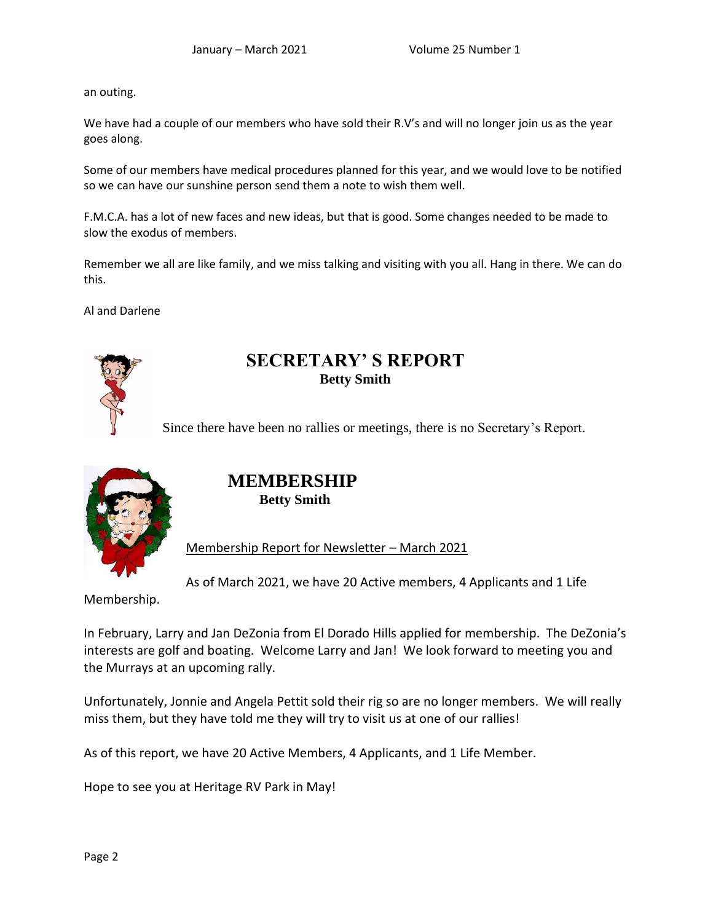an outing.

We have had a couple of our members who have sold their R.V's and will no longer join us as the year goes along.

Some of our members have medical procedures planned for this year, and we would love to be notified so we can have our sunshine person send them a note to wish them well.

F.M.C.A. has a lot of new faces and new ideas, but that is good. Some changes needed to be made to slow the exodus of members.

Remember we all are like family, and we miss talking and visiting with you all. Hang in there. We can do this.

Al and Darlene



### **SECRETARY' S REPORT Betty Smith**

Since there have been no rallies or meetings, there is no Secretary's Report.



#### **MEMBERSHIP Betty Smith**

Membership Report for Newsletter – March 2021

As of March 2021, we have 20 Active members, 4 Applicants and 1 Life

Membership.

In February, Larry and Jan DeZonia from El Dorado Hills applied for membership. The DeZonia's interests are golf and boating. Welcome Larry and Jan! We look forward to meeting you and the Murrays at an upcoming rally.

Unfortunately, Jonnie and Angela Pettit sold their rig so are no longer members. We will really miss them, but they have told me they will try to visit us at one of our rallies!

As of this report, we have 20 Active Members, 4 Applicants, and 1 Life Member.

Hope to see you at Heritage RV Park in May!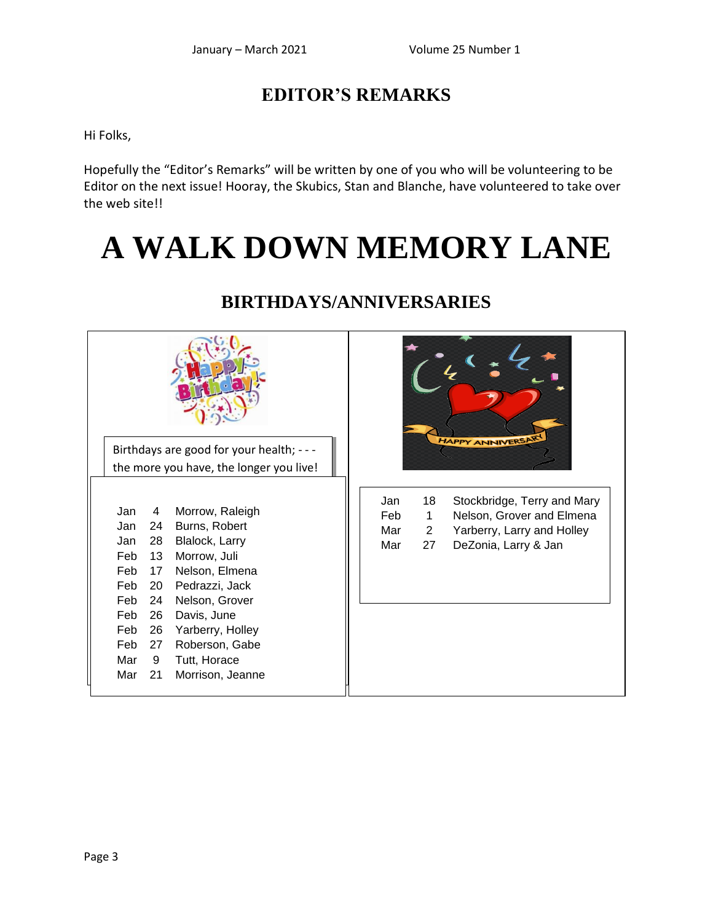### **EDITOR'S REMARKS**

Hi Folks,

Hopefully the "Editor's Remarks" will be written by one of you who will be volunteering to be Editor on the next issue! Hooray, the Skubics, Stan and Blanche, have volunteered to take over the web sitell

# **A WALK DOWN MEMORY LANE**



### **BIRTHDAYS/ANNIVERSARIES**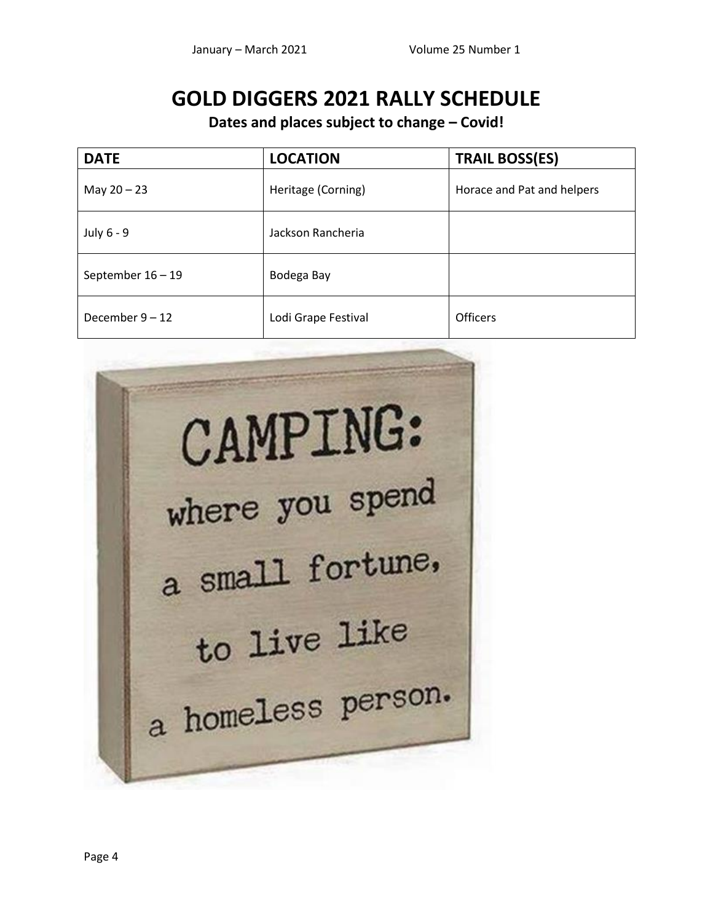### **GOLD DIGGERS 2021 RALLY SCHEDULE**

**Dates and places subject to change – Covid!**

| <b>DATE</b>         | <b>LOCATION</b>     | <b>TRAIL BOSS(ES)</b>      |
|---------------------|---------------------|----------------------------|
| May $20 - 23$       | Heritage (Corning)  | Horace and Pat and helpers |
| July 6 - 9          | Jackson Rancheria   |                            |
| September $16 - 19$ | Bodega Bay          |                            |
| December $9 - 12$   | Lodi Grape Festival | <b>Officers</b>            |

**CAMPING:** where you spend a small fortune, to live like a homeless person.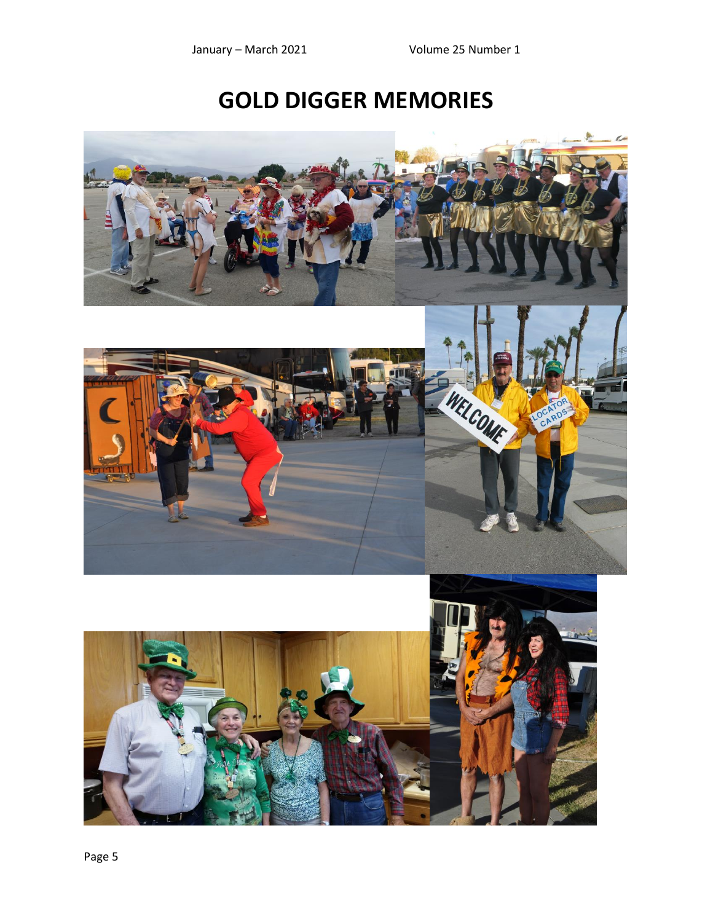## **GOLD DIGGER MEMORIES**